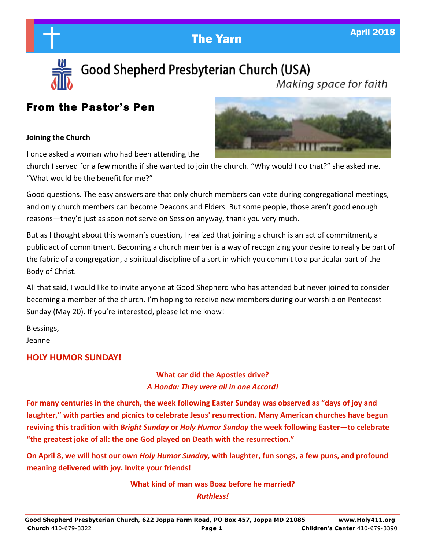

Good Shepherd Presbyterian Church (USA) Making space for faith

## From the Pastor's Pen

#### **Joining the Church**

I once asked a woman who had been attending the



church I served for a few months if she wanted to join the church. "Why would I do that?" she asked me. "What would be the benefit for me?"

Good questions. The easy answers are that only church members can vote during congregational meetings, and only church members can become Deacons and Elders. But some people, those aren't good enough reasons—they'd just as soon not serve on Session anyway, thank you very much.

But as I thought about this woman's question, I realized that joining a church is an act of commitment, a public act of commitment. Becoming a church member is a way of recognizing your desire to really be part of the fabric of a congregation, a spiritual discipline of a sort in which you commit to a particular part of the Body of Christ.

All that said, I would like to invite anyone at Good Shepherd who has attended but never joined to consider becoming a member of the church. I'm hoping to receive new members during our worship on Pentecost Sunday (May 20). If you're interested, please let me know!

Blessings,

Jeanne

### **HOLY HUMOR SUNDAY!**

### **What car did the Apostles drive?**  *A Honda: They were all in one Accord!*

**For many centuries in the church, the week following Easter Sunday was observed as "days of joy and laughter," with parties and picnics to celebrate Jesus' resurrection. Many American churches have begun reviving this tradition with** *Bright Sunday* **or** *Holy Humor Sunday* **the week following Easter—to celebrate "the greatest joke of all: the one God played on Death with the resurrection."**

**On April 8, we will host our own** *Holy Humor Sunday,* **with laughter, fun songs, a few puns, and profound meaning delivered with joy. Invite your friends!** 

#### **What kind of man was Boaz before he married?**  *Ruthless!*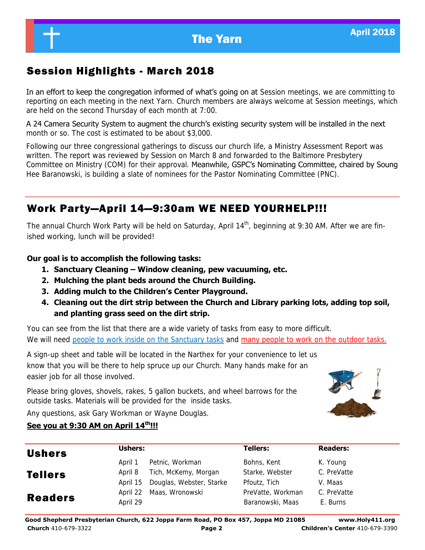## Session Highlights - March 2018

In an effort to keep the congregation informed of what's going on at Session meetings, we are committing to reporting on each meeting in the next Yarn. Church members are always welcome at Session meetings, which are held on the second Thursday of each month at 7:00.

A 24 Camera Security System to augment the church's existing security system will be installed in the next month or so. The cost is estimated to be about \$3,000.

Following our three congressional gatherings to discuss our church life, a Ministry Assessment Report was written. The report was reviewed by Session on March 8 and forwarded to the Baltimore Presbytery Committee on Ministry (COM) for their approval. Meanwhile, GSPC's Nominating Committee, chaired by Soung Hee Baranowski, is building a slate of nominees for the Pastor Nominating Committee (PNC).

## Work Party—April 14—9:30am WE NEED YOURHELP!!!

The annual Church Work Party will be held on Saturday, April 14<sup>th</sup>, beginning at 9:30 AM. After we are finished working, lunch will be provided!

#### **Our goal is to accomplish the following tasks:**

- **1. Sanctuary Cleaning – Window cleaning, pew vacuuming, etc.**
- **2. Mulching the plant beds around the Church Building.**
- **3. Adding mulch to the Children's Center Playground.**
- **4. Cleaning out the dirt strip between the Church and Library parking lots, adding top soil, and planting grass seed on the dirt strip.**

You can see from the list that there are a wide variety of tasks from easy to more difficult. We will need people to work inside on the Sanctuary tasks and many people to work on the outdoor tasks.

A sign-up sheet and table will be located in the Narthex for your convenience to let us know that you will be there to help spruce up our Church. Many hands make for an easier job for all those involved.

Please bring gloves, shovels, rakes, 5 gallon buckets, and wheel barrows for the outside tasks. Materials will be provided for the inside tasks.



Any questions, ask Gary Workman or Wayne Douglas.

### **See you at 9:30 AM on April 14th!!!**

| <b>Ushers</b>  | Ushers:  |                          | <b>Tellers:</b>   | <b>Readers:</b> |
|----------------|----------|--------------------------|-------------------|-----------------|
|                | April 1  | Petnic, Workman          | Bohns, Kent       | K. Young        |
| <b>Tellers</b> | April 8  | Tich, McKemy, Morgan     | Starke, Webster   | C. PreVatte     |
|                | April 15 | Douglas, Webster, Starke | Pfoutz, Tich      | V. Maas         |
|                |          | April 22 Maas, Wronowski | PreVatte, Workman | C. PreVatte     |
| <b>Readers</b> | April 29 |                          | Baranowski, Maas  | F. Burns        |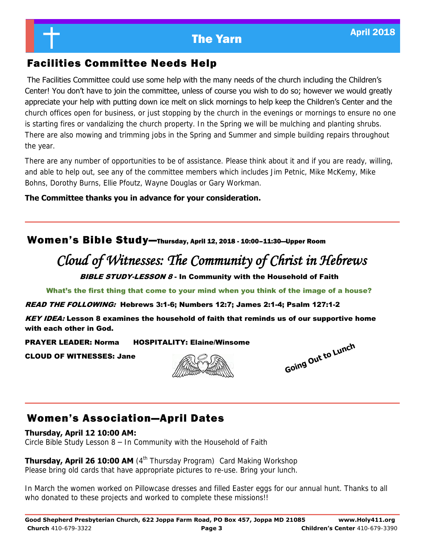## Facilities Committee Needs Help

The Facilities Committee could use some help with the many needs of the church including the Children's Center! You don't have to join the committee, unless of course you wish to do so; however we would greatly appreciate your help with putting down ice melt on slick mornings to help keep the Children's Center and the church offices open for business, or just stopping by the church in the evenings or mornings to ensure no one is starting fires or vandalizing the church property. In the Spring we will be mulching and planting shrubs. There are also mowing and trimming jobs in the Spring and Summer and simple building repairs throughout the year.

There are any number of opportunities to be of assistance. Please think about it and if you are ready, willing, and able to help out, see any of the committee members which includes Jim Petnic, Mike McKemy, Mike Bohns, Dorothy Burns, Ellie Pfoutz, Wayne Douglas or Gary Workman.

#### **The Committee thanks you in advance for your consideration.**

### Women's Bible Study—Thursday, April 12, 2018 - 10:00–11:30—Upper Room

# *Cloud of Witnesses: The Community of Christ in Hebrews*

BIBLE STUDY-LESSON 8 - In Community with the Household of Faith

What's the first thing that come to your mind when you think of the image of a house?

#### READ THE FOLLOWING: Hebrews 3:1-6; Numbers 12:7; James 2:1-4; Psalm 127:1-2

KEY IDEA: Lesson 8 examines the household of faith that reminds us of our supportive home with each other in God.

PRAYER LEADER: Norma HOSPITALITY: Elaine/Winsome

CLOUD OF WITNESSES: Jane

**Going Out to Lunch**

## Women's Association—April Dates

#### **Thursday, April 12 10:00 AM:**

Circle Bible Study Lesson 8 – In Community with the Household of Faith

**Thursday, April 26 10:00 AM** (4<sup>th</sup> Thursday Program) Card Making Workshop Please bring old cards that have appropriate pictures to re-use. Bring your lunch.

In March the women worked on Pillowcase dresses and filled Easter eggs for our annual hunt. Thanks to all who donated to these projects and worked to complete these missions!!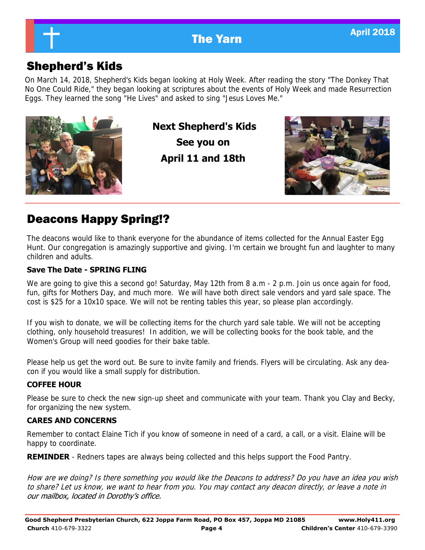## Shepherd's Kids

On March 14, 2018, Shepherd's Kids began looking at Holy Week. After reading the story "The Donkey That No One Could Ride," they began looking at scriptures about the events of Holy Week and made Resurrection Eggs. They learned the song "He Lives" and asked to sing "Jesus Loves Me."



**Next Shepherd's Kids See you on April 11 and 18th** 



## Deacons Happy Spring!?

The deacons would like to thank everyone for the abundance of items collected for the Annual Easter Egg Hunt. Our congregation is amazingly supportive and giving. I'm certain we brought fun and laughter to many children and adults.

#### **Save The Date - SPRING FLING**

We are going to give this a second go! Saturday, May 12th from 8 a.m - 2 p.m. Join us once again for food, fun, gifts for Mothers Day, and much more. We will have both direct sale vendors and yard sale space. The cost is \$25 for a 10x10 space. We will not be renting tables this year, so please plan accordingly.

If you wish to donate, we will be collecting items for the church yard sale table. We will not be accepting clothing, only household treasures! In addition, we will be collecting books for the book table, and the Women's Group will need goodies for their bake table.

Please help us get the word out. Be sure to invite family and friends. Flyers will be circulating. Ask any deacon if you would like a small supply for distribution.

#### **COFFEE HOUR**

Please be sure to check the new sign-up sheet and communicate with your team. Thank you Clay and Becky, for organizing the new system.

#### **CARES AND CONCERNS**

Remember to contact Elaine Tich if you know of someone in need of a card, a call, or a visit. Elaine will be happy to coordinate.

**REMINDER** - Redners tapes are always being collected and this helps support the Food Pantry.

How are we doing? Is there something you would like the Deacons to address? Do you have an idea you wish to share? Let us know, we want to hear from you. You may contact any deacon directly, or leave a note in our mailbox, located in Dorothy's office.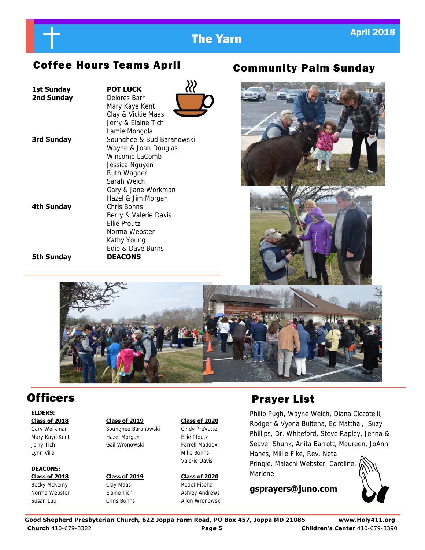

## Coffee Hours Teams April

| <b>1st Sunday</b> | <b>POT LUCK</b>           |
|-------------------|---------------------------|
| 2nd Sunday        | Delores Barr              |
|                   | Mary Kaye Kent            |
|                   | Clay & Vickie Maas        |
|                   | Jerry & Elaine Tich       |
|                   | Lamie Mongola             |
| 3rd Sunday        | Sounghee & Bud Baranowski |
|                   | Wayne & Joan Douglas      |
|                   | Winsome LaComb            |
|                   | Jessica Nguyen            |
|                   | Ruth Wagner               |
|                   | Sarah Weich               |
|                   | Gary & Jane Workman       |
|                   | Hazel & Jim Morgan        |
| 4th Sunday        | Chris Bohns               |
|                   | Berry & Valerie Davis     |
|                   | Filie Pfoutz              |
|                   | Norma Webster             |
|                   | Kathy Young               |
|                   | Edie & Dave Burns         |
| 5th Sunday        | <b>DEACONS</b>            |

## Community Palm Sunday







## **Officers**

**ELDERS:**  Lynn Villa **Mike Bohns** Mike Bohns

#### **DEACONS: Class of 2018 Class of 2019 Class of 2020**

Norma Webster **Elaine Tich** Ashley Andrews Susan Luu Chris Bohns Allen Wronowski

**Class of 2018 Class of 2019 Class of 2020** Gary Workman Sounghee Baranowski Cindy PreVatte Mary Kaye Kent **Hazel Morgan** Ellie Pfoutz Jerry Tich **Gail Wronowski** Farrell Maddox

Valerie Davis

Becky McKemy Clay Maas Redet Fiseha

## Prayer List

Philip Pugh, Wayne Weich, Diana Ciccotelli, Rodger & Vyona Bultena, Ed Matthai, Suzy Phillips, Dr. Whiteford, Steve Rapley, Jenna & Seaver Shunk, Anita Barrett, Maureen, JoAnn Hanes, Millie Fike, Rev. Neta

Pringle, Malachi Webster, Caroline, Marlene

#### **gsprayers@juno.com**



**Good Shepherd Presbyterian Church, 622 Joppa Farm Road, PO Box 457, Joppa MD 21085 www.Holy411.org Church** 410-679-3322 **Page 5 Children's Center** 410-679-3390